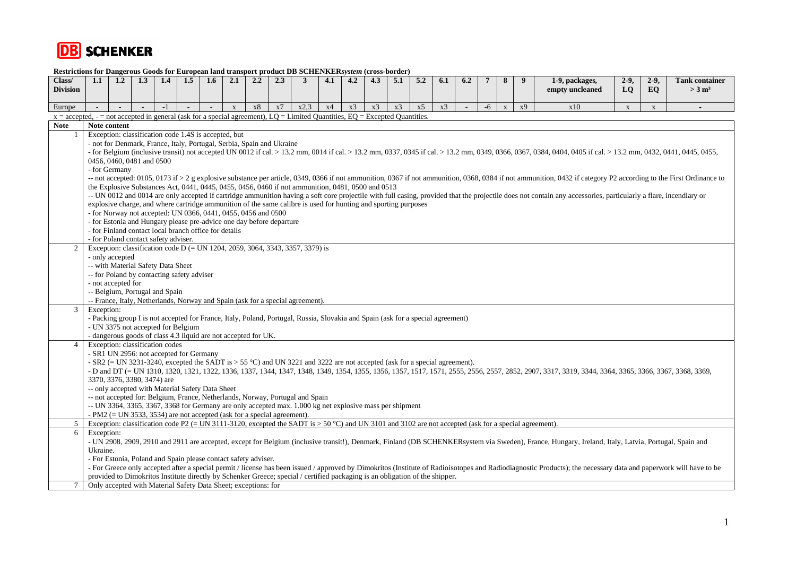

| ixtstrictions for <i>Dan</i> gerous Goods for Euro<br>Class/<br><b>Division</b>                                               | 1.1                                                                                                                                                                                                                                                                                                                                                         | 1.2                                                                                                                                                                                                                                                                                    | 1.3                         | 1.4  | 1.5                                              | an mnu amo<br>$1.6\phantom{0}$ | 2.1          | JVI L<br>2.2 | 2.3                                                                       | nvaatt DD ochho<br>3                                                                                                                                  | <br>4.1 | <br>4.2 | 4.3 | u voo vuud<br>5.1 | 5.2 | 6.1 | 6.2 | $\overline{7}$ | 8                         | 9  | 1-9, packages,<br>empty uncleaned                                                                                                                                                                   | $2-9,$<br>LO | $2-9,$<br>EQ | <b>Tank container</b><br>$>3$ m <sup>3</sup> |
|-------------------------------------------------------------------------------------------------------------------------------|-------------------------------------------------------------------------------------------------------------------------------------------------------------------------------------------------------------------------------------------------------------------------------------------------------------------------------------------------------------|----------------------------------------------------------------------------------------------------------------------------------------------------------------------------------------------------------------------------------------------------------------------------------------|-----------------------------|------|--------------------------------------------------|--------------------------------|--------------|--------------|---------------------------------------------------------------------------|-------------------------------------------------------------------------------------------------------------------------------------------------------|---------|---------|-----|-------------------|-----|-----|-----|----------------|---------------------------|----|-----------------------------------------------------------------------------------------------------------------------------------------------------------------------------------------------------|--------------|--------------|----------------------------------------------|
|                                                                                                                               |                                                                                                                                                                                                                                                                                                                                                             |                                                                                                                                                                                                                                                                                        |                             |      |                                                  |                                |              |              |                                                                           |                                                                                                                                                       |         |         |     |                   |     |     |     |                |                           |    |                                                                                                                                                                                                     |              |              |                                              |
| Europe                                                                                                                        |                                                                                                                                                                                                                                                                                                                                                             |                                                                                                                                                                                                                                                                                        |                             | $-1$ |                                                  |                                | $\mathbf{x}$ | <b>x8</b>    | x7                                                                        | x2.3                                                                                                                                                  | x4      | x3      | x3  | x3                | x5  | x3  |     | $-6$           | $\boldsymbol{\mathrm{x}}$ | x9 | x10                                                                                                                                                                                                 | $\mathbf X$  | $\mathbf X$  |                                              |
| $x =$ accepted, - = not accepted in general (ask for a special agreement), LQ = Limited Quantities, EQ = Excepted Quantities. |                                                                                                                                                                                                                                                                                                                                                             |                                                                                                                                                                                                                                                                                        |                             |      |                                                  |                                |              |              |                                                                           |                                                                                                                                                       |         |         |     |                   |     |     |     |                |                           |    |                                                                                                                                                                                                     |              |              |                                              |
| <b>Note</b>                                                                                                                   | Note content                                                                                                                                                                                                                                                                                                                                                |                                                                                                                                                                                                                                                                                        |                             |      |                                                  |                                |              |              |                                                                           |                                                                                                                                                       |         |         |     |                   |     |     |     |                |                           |    |                                                                                                                                                                                                     |              |              |                                              |
|                                                                                                                               |                                                                                                                                                                                                                                                                                                                                                             | Exception: classification code 1.4S is accepted, but                                                                                                                                                                                                                                   |                             |      |                                                  |                                |              |              |                                                                           |                                                                                                                                                       |         |         |     |                   |     |     |     |                |                           |    |                                                                                                                                                                                                     |              |              |                                              |
|                                                                                                                               |                                                                                                                                                                                                                                                                                                                                                             | - not for Denmark, France, Italy, Portugal, Serbia, Spain and Ukraine<br>- for Belgium (inclusive transit) not accepted UN 0012 if cal. > 13.2 mm, 0014 if cal. > 13.2 mm, 0337, 0345 if cal. > 13.2 mm, 0349, 0366, 0367, 0384, 0404, 0405 if cal. > 13.2 mm, 0432, 0441, 0445, 0455, |                             |      |                                                  |                                |              |              |                                                                           |                                                                                                                                                       |         |         |     |                   |     |     |     |                |                           |    |                                                                                                                                                                                                     |              |              |                                              |
|                                                                                                                               |                                                                                                                                                                                                                                                                                                                                                             | 0456, 0460, 0481 and 0500                                                                                                                                                                                                                                                              |                             |      |                                                  |                                |              |              |                                                                           |                                                                                                                                                       |         |         |     |                   |     |     |     |                |                           |    |                                                                                                                                                                                                     |              |              |                                              |
|                                                                                                                               |                                                                                                                                                                                                                                                                                                                                                             | - for Germany                                                                                                                                                                                                                                                                          |                             |      |                                                  |                                |              |              |                                                                           |                                                                                                                                                       |         |         |     |                   |     |     |     |                |                           |    |                                                                                                                                                                                                     |              |              |                                              |
|                                                                                                                               |                                                                                                                                                                                                                                                                                                                                                             | -- not accepted: 0105, 0173 if > 2 g explosive substance per article, 0349, 0366 if not ammunition, 0367 if not ammunition, 0368, 0384 if not ammunition, 0432 if category P2 according to the First Ordinance to                                                                      |                             |      |                                                  |                                |              |              |                                                                           |                                                                                                                                                       |         |         |     |                   |     |     |     |                |                           |    |                                                                                                                                                                                                     |              |              |                                              |
|                                                                                                                               |                                                                                                                                                                                                                                                                                                                                                             | the Explosive Substances Act, 0441, 0445, 0455, 0456, 0460 if not ammunition, 0481, 0500 and 0513                                                                                                                                                                                      |                             |      |                                                  |                                |              |              |                                                                           |                                                                                                                                                       |         |         |     |                   |     |     |     |                |                           |    |                                                                                                                                                                                                     |              |              |                                              |
|                                                                                                                               | -- UN 0012 and 0014 are only accepted if cartridge ammunition having a soft core projectile with full casing, provided that the projectile does not contain any accessories, particularly a flare, incendiary or                                                                                                                                            |                                                                                                                                                                                                                                                                                        |                             |      |                                                  |                                |              |              |                                                                           |                                                                                                                                                       |         |         |     |                   |     |     |     |                |                           |    |                                                                                                                                                                                                     |              |              |                                              |
|                                                                                                                               | explosive charge, and where cartridge ammunition of the same calibre is used for hunting and sporting purposes                                                                                                                                                                                                                                              |                                                                                                                                                                                                                                                                                        |                             |      |                                                  |                                |              |              |                                                                           |                                                                                                                                                       |         |         |     |                   |     |     |     |                |                           |    |                                                                                                                                                                                                     |              |              |                                              |
|                                                                                                                               | - for Norway not accepted: UN 0366, 0441, 0455, 0456 and 0500<br>- for Estonia and Hungary please pre-advice one day before departure                                                                                                                                                                                                                       |                                                                                                                                                                                                                                                                                        |                             |      |                                                  |                                |              |              |                                                                           |                                                                                                                                                       |         |         |     |                   |     |     |     |                |                           |    |                                                                                                                                                                                                     |              |              |                                              |
|                                                                                                                               | - for Finland contact local branch office for details                                                                                                                                                                                                                                                                                                       |                                                                                                                                                                                                                                                                                        |                             |      |                                                  |                                |              |              |                                                                           |                                                                                                                                                       |         |         |     |                   |     |     |     |                |                           |    |                                                                                                                                                                                                     |              |              |                                              |
|                                                                                                                               | - for Poland contact safety adviser.                                                                                                                                                                                                                                                                                                                        |                                                                                                                                                                                                                                                                                        |                             |      |                                                  |                                |              |              |                                                                           |                                                                                                                                                       |         |         |     |                   |     |     |     |                |                           |    |                                                                                                                                                                                                     |              |              |                                              |
|                                                                                                                               | Exception: classification code D (= UN 1204, 2059, 3064, 3343, 3357, 3379) is                                                                                                                                                                                                                                                                               |                                                                                                                                                                                                                                                                                        |                             |      |                                                  |                                |              |              |                                                                           |                                                                                                                                                       |         |         |     |                   |     |     |     |                |                           |    |                                                                                                                                                                                                     |              |              |                                              |
|                                                                                                                               | - only accepted                                                                                                                                                                                                                                                                                                                                             |                                                                                                                                                                                                                                                                                        |                             |      |                                                  |                                |              |              |                                                                           |                                                                                                                                                       |         |         |     |                   |     |     |     |                |                           |    |                                                                                                                                                                                                     |              |              |                                              |
|                                                                                                                               | -- with Material Safety Data Sheet                                                                                                                                                                                                                                                                                                                          |                                                                                                                                                                                                                                                                                        |                             |      |                                                  |                                |              |              |                                                                           |                                                                                                                                                       |         |         |     |                   |     |     |     |                |                           |    |                                                                                                                                                                                                     |              |              |                                              |
|                                                                                                                               | -- for Poland by contacting safety adviser                                                                                                                                                                                                                                                                                                                  |                                                                                                                                                                                                                                                                                        |                             |      |                                                  |                                |              |              |                                                                           |                                                                                                                                                       |         |         |     |                   |     |     |     |                |                           |    |                                                                                                                                                                                                     |              |              |                                              |
|                                                                                                                               | - not accepted for                                                                                                                                                                                                                                                                                                                                          |                                                                                                                                                                                                                                                                                        |                             |      |                                                  |                                |              |              |                                                                           |                                                                                                                                                       |         |         |     |                   |     |     |     |                |                           |    |                                                                                                                                                                                                     |              |              |                                              |
|                                                                                                                               |                                                                                                                                                                                                                                                                                                                                                             | -- Belgium, Portugal and Spain                                                                                                                                                                                                                                                         |                             |      |                                                  |                                |              |              |                                                                           |                                                                                                                                                       |         |         |     |                   |     |     |     |                |                           |    |                                                                                                                                                                                                     |              |              |                                              |
| 3                                                                                                                             | -- France, Italy, Netherlands, Norway and Spain (ask for a special agreement).<br>Exception:                                                                                                                                                                                                                                                                |                                                                                                                                                                                                                                                                                        |                             |      |                                                  |                                |              |              |                                                                           |                                                                                                                                                       |         |         |     |                   |     |     |     |                |                           |    |                                                                                                                                                                                                     |              |              |                                              |
|                                                                                                                               |                                                                                                                                                                                                                                                                                                                                                             |                                                                                                                                                                                                                                                                                        |                             |      |                                                  |                                |              |              |                                                                           |                                                                                                                                                       |         |         |     |                   |     |     |     |                |                           |    |                                                                                                                                                                                                     |              |              |                                              |
|                                                                                                                               | - Packing group I is not accepted for France, Italy, Poland, Portugal, Russia, Slovakia and Spain (ask for a special agreement)<br>- UN 3375 not accepted for Belgium                                                                                                                                                                                       |                                                                                                                                                                                                                                                                                        |                             |      |                                                  |                                |              |              |                                                                           |                                                                                                                                                       |         |         |     |                   |     |     |     |                |                           |    |                                                                                                                                                                                                     |              |              |                                              |
|                                                                                                                               | - dangerous goods of class 4.3 liquid are not accepted for UK.                                                                                                                                                                                                                                                                                              |                                                                                                                                                                                                                                                                                        |                             |      |                                                  |                                |              |              |                                                                           |                                                                                                                                                       |         |         |     |                   |     |     |     |                |                           |    |                                                                                                                                                                                                     |              |              |                                              |
| $\overline{\mathcal{A}}$                                                                                                      | Exception: classification codes                                                                                                                                                                                                                                                                                                                             |                                                                                                                                                                                                                                                                                        |                             |      |                                                  |                                |              |              |                                                                           |                                                                                                                                                       |         |         |     |                   |     |     |     |                |                           |    |                                                                                                                                                                                                     |              |              |                                              |
|                                                                                                                               | - SR1 UN 2956: not accepted for Germany                                                                                                                                                                                                                                                                                                                     |                                                                                                                                                                                                                                                                                        |                             |      |                                                  |                                |              |              |                                                                           |                                                                                                                                                       |         |         |     |                   |     |     |     |                |                           |    |                                                                                                                                                                                                     |              |              |                                              |
|                                                                                                                               | - SR2 (= UN 3231-3240, excepted the SADT is > 55 °C) and UN 3221 and 3222 are not accepted (ask for a special agreement).<br>- D and DT (= UN 1310, 1320, 1321, 1322, 1336, 1337, 1344, 1347, 1348, 1349, 1354, 1355, 1356, 1357, 1517, 1571, 2555, 2556, 2557, 2852, 2907, 3317, 3319, 3344, 3364, 3365, 3366, 3367, 3368, 3366, 3367, 3368, 3366, 3367, 3 |                                                                                                                                                                                                                                                                                        |                             |      |                                                  |                                |              |              |                                                                           |                                                                                                                                                       |         |         |     |                   |     |     |     |                |                           |    |                                                                                                                                                                                                     |              |              |                                              |
|                                                                                                                               |                                                                                                                                                                                                                                                                                                                                                             |                                                                                                                                                                                                                                                                                        | 3370, 3376, 3380, 3474) are |      |                                                  |                                |              |              |                                                                           |                                                                                                                                                       |         |         |     |                   |     |     |     |                |                           |    |                                                                                                                                                                                                     |              |              |                                              |
|                                                                                                                               |                                                                                                                                                                                                                                                                                                                                                             |                                                                                                                                                                                                                                                                                        |                             |      | -- only accepted with Material Safety Data Sheet |                                |              |              |                                                                           |                                                                                                                                                       |         |         |     |                   |     |     |     |                |                           |    |                                                                                                                                                                                                     |              |              |                                              |
|                                                                                                                               |                                                                                                                                                                                                                                                                                                                                                             |                                                                                                                                                                                                                                                                                        |                             |      |                                                  |                                |              |              |                                                                           | -- not accepted for: Belgium, France, Netherlands, Norway, Portugal and Spain                                                                         |         |         |     |                   |     |     |     |                |                           |    |                                                                                                                                                                                                     |              |              |                                              |
|                                                                                                                               |                                                                                                                                                                                                                                                                                                                                                             |                                                                                                                                                                                                                                                                                        |                             |      |                                                  |                                |              |              |                                                                           | -- UN 3364, 3365, 3367, 3368 for Germany are only accepted max. 1.000 kg net explosive mass per shipment                                              |         |         |     |                   |     |     |     |                |                           |    |                                                                                                                                                                                                     |              |              |                                              |
|                                                                                                                               |                                                                                                                                                                                                                                                                                                                                                             |                                                                                                                                                                                                                                                                                        |                             |      |                                                  |                                |              |              | $-$ PM2 (= UN 3533, 3534) are not accepted (ask for a special agreement). |                                                                                                                                                       |         |         |     |                   |     |     |     |                |                           |    |                                                                                                                                                                                                     |              |              |                                              |
| 5                                                                                                                             |                                                                                                                                                                                                                                                                                                                                                             |                                                                                                                                                                                                                                                                                        |                             |      |                                                  |                                |              |              |                                                                           | Exception: classification code P2 (= UN 3111-3120, excepted the SADT is > 50 °C) and UN 3101 and 3102 are not accepted (ask for a special agreement). |         |         |     |                   |     |     |     |                |                           |    |                                                                                                                                                                                                     |              |              |                                              |
| 6                                                                                                                             | Exception:                                                                                                                                                                                                                                                                                                                                                  |                                                                                                                                                                                                                                                                                        |                             |      |                                                  |                                |              |              |                                                                           |                                                                                                                                                       |         |         |     |                   |     |     |     |                |                           |    | - UN 2908, 2909, 2910 and 2911 are accepted, except for Belgium (inclusive transit!), Denmark, Finland (DB SCHENKERsystem via Sweden), France, Hungary, Ireland, Italy, Latvia, Portugal, Spain and |              |              |                                              |
|                                                                                                                               | Ukraine.                                                                                                                                                                                                                                                                                                                                                    |                                                                                                                                                                                                                                                                                        |                             |      |                                                  |                                |              |              |                                                                           |                                                                                                                                                       |         |         |     |                   |     |     |     |                |                           |    |                                                                                                                                                                                                     |              |              |                                              |
|                                                                                                                               |                                                                                                                                                                                                                                                                                                                                                             |                                                                                                                                                                                                                                                                                        |                             |      |                                                  |                                |              |              |                                                                           |                                                                                                                                                       |         |         |     |                   |     |     |     |                |                           |    |                                                                                                                                                                                                     |              |              |                                              |
|                                                                                                                               |                                                                                                                                                                                                                                                                                                                                                             | - For Estonia, Poland and Spain please contact safety adviser.<br>- For Greece only accepted after a special permit / license has been issued / approved by Dimokritos (Institute of Radioisotopes and Radiodiagnostic Products); the necessary data and paperwork will have to be     |                             |      |                                                  |                                |              |              |                                                                           |                                                                                                                                                       |         |         |     |                   |     |     |     |                |                           |    |                                                                                                                                                                                                     |              |              |                                              |
|                                                                                                                               |                                                                                                                                                                                                                                                                                                                                                             | provided to Dimokritos Institute directly by Schenker Greece; special / certified packaging is an obligation of the shipper.                                                                                                                                                           |                             |      |                                                  |                                |              |              |                                                                           |                                                                                                                                                       |         |         |     |                   |     |     |     |                |                           |    |                                                                                                                                                                                                     |              |              |                                              |
|                                                                                                                               | Only accepted with Material Safety Data Sheet; exceptions: for                                                                                                                                                                                                                                                                                              |                                                                                                                                                                                                                                                                                        |                             |      |                                                  |                                |              |              |                                                                           |                                                                                                                                                       |         |         |     |                   |     |     |     |                |                           |    |                                                                                                                                                                                                     |              |              |                                              |

**Restrictions for Dangerous Goods for European land transport product DB SCHENKER***system* **(cross-border)**